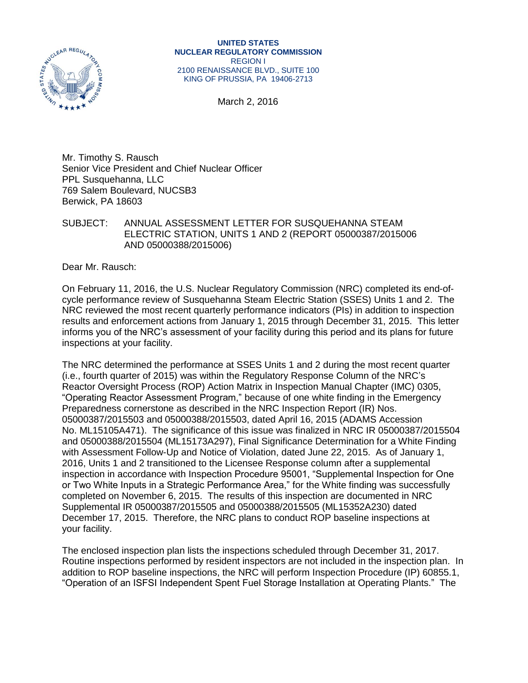

March 2, 2016

Mr. Timothy S. Rausch Senior Vice President and Chief Nuclear Officer PPL Susquehanna, LLC 769 Salem Boulevard, NUCSB3 Berwick, PA 18603

#### SUBJECT: ANNUAL ASSESSMENT LETTER FOR SUSQUEHANNA STEAM ELECTRIC STATION, UNITS 1 AND 2 (REPORT 05000387/2015006 AND 05000388/2015006)

Dear Mr. Rausch:

On February 11, 2016, the U.S. Nuclear Regulatory Commission (NRC) completed its end-ofcycle performance review of Susquehanna Steam Electric Station (SSES) Units 1 and 2. The NRC reviewed the most recent quarterly performance indicators (PIs) in addition to inspection results and enforcement actions from January 1, 2015 through December 31, 2015. This letter informs you of the NRC's assessment of your facility during this period and its plans for future inspections at your facility.

The NRC determined the performance at SSES Units 1 and 2 during the most recent quarter (i.e., fourth quarter of 2015) was within the Regulatory Response Column of the NRC's Reactor Oversight Process (ROP) Action Matrix in Inspection Manual Chapter (IMC) 0305, "Operating Reactor Assessment Program," because of one white finding in the Emergency Preparedness cornerstone as described in the NRC Inspection Report (IR) Nos. 05000387/2015503 and 05000388/2015503, dated April 16, 2015 (ADAMS Accession No. ML15105A471). The significance of this issue was finalized in NRC IR 05000387/2015504 and 05000388/2015504 (ML15173A297), Final Significance Determination for a White Finding with Assessment Follow-Up and Notice of Violation, dated June 22, 2015. As of January 1, 2016, Units 1 and 2 transitioned to the Licensee Response column after a supplemental inspection in accordance with Inspection Procedure 95001, "Supplemental Inspection for One or Two White Inputs in a Strategic Performance Area," for the White finding was successfully completed on November 6, 2015. The results of this inspection are documented in NRC Supplemental IR 05000387/2015505 and 05000388/2015505 (ML15352A230) dated December 17, 2015. Therefore, the NRC plans to conduct ROP baseline inspections at your facility.

The enclosed inspection plan lists the inspections scheduled through December 31, 2017. Routine inspections performed by resident inspectors are not included in the inspection plan. In addition to ROP baseline inspections, the NRC will perform Inspection Procedure (IP) 60855.1, "Operation of an ISFSI Independent Spent Fuel Storage Installation at Operating Plants." The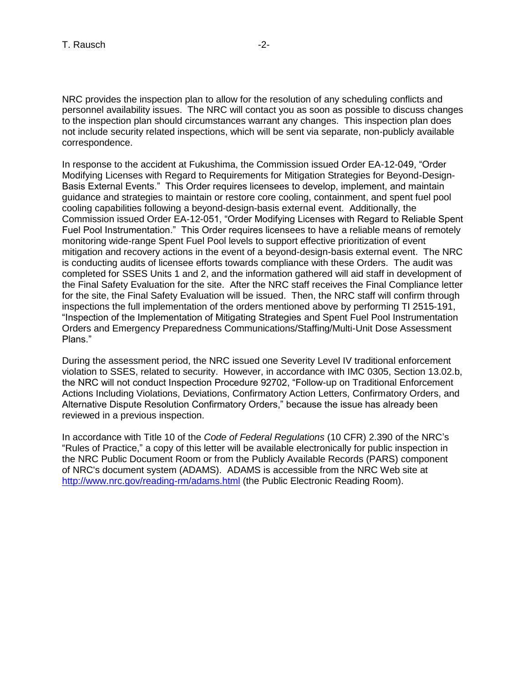NRC provides the inspection plan to allow for the resolution of any scheduling conflicts and personnel availability issues. The NRC will contact you as soon as possible to discuss changes to the inspection plan should circumstances warrant any changes. This inspection plan does not include security related inspections, which will be sent via separate, non-publicly available correspondence.

In response to the accident at Fukushima, the Commission issued Order EA-12-049, "Order Modifying Licenses with Regard to Requirements for Mitigation Strategies for Beyond-Design-Basis External Events." This Order requires licensees to develop, implement, and maintain guidance and strategies to maintain or restore core cooling, containment, and spent fuel pool cooling capabilities following a beyond-design-basis external event. Additionally, the Commission issued Order EA-12-051, "Order Modifying Licenses with Regard to Reliable Spent Fuel Pool Instrumentation." This Order requires licensees to have a reliable means of remotely monitoring wide-range Spent Fuel Pool levels to support effective prioritization of event mitigation and recovery actions in the event of a beyond-design-basis external event. The NRC is conducting audits of licensee efforts towards compliance with these Orders. The audit was completed for SSES Units 1 and 2, and the information gathered will aid staff in development of the Final Safety Evaluation for the site. After the NRC staff receives the Final Compliance letter for the site, the Final Safety Evaluation will be issued. Then, the NRC staff will confirm through inspections the full implementation of the orders mentioned above by performing TI 2515-191, "Inspection of the Implementation of Mitigating Strategies and Spent Fuel Pool Instrumentation Orders and Emergency Preparedness Communications/Staffing/Multi-Unit Dose Assessment Plans."

During the assessment period, the NRC issued one Severity Level IV traditional enforcement violation to SSES, related to security. However, in accordance with IMC 0305, Section 13.02.b, the NRC will not conduct Inspection Procedure 92702, "Follow-up on Traditional Enforcement Actions Including Violations, Deviations, Confirmatory Action Letters, Confirmatory Orders, and Alternative Dispute Resolution Confirmatory Orders," because the issue has already been reviewed in a previous inspection.

In accordance with Title 10 of the *Code of Federal Regulations* (10 CFR) 2.390 of the NRC's "Rules of Practice," a copy of this letter will be available electronically for public inspection in the NRC Public Document Room or from the Publicly Available Records (PARS) component of NRC's document system (ADAMS). ADAMS is accessible from the NRC Web site at <http://www.nrc.gov/reading-rm/adams.html> (the Public Electronic Reading Room).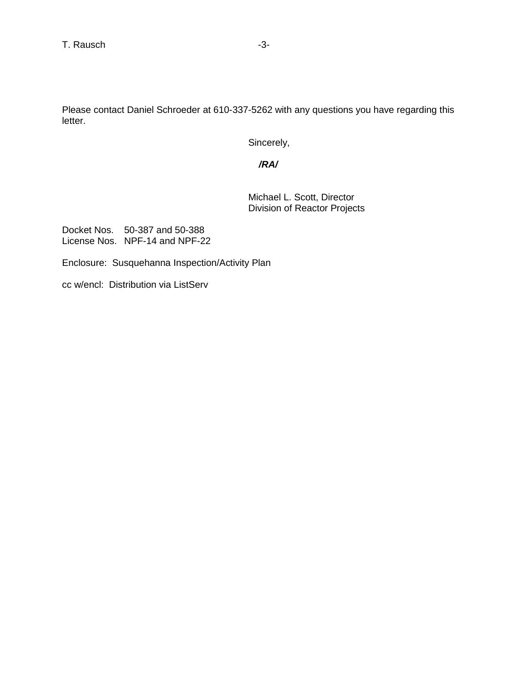Please contact Daniel Schroeder at 610-337-5262 with any questions you have regarding this letter.

Sincerely,

 */RA/*

Michael L. Scott, Director Division of Reactor Projects

Docket Nos. 50-387 and 50-388 License Nos. NPF-14 and NPF-22

Enclosure: Susquehanna Inspection/Activity Plan

cc w/encl: Distribution via ListServ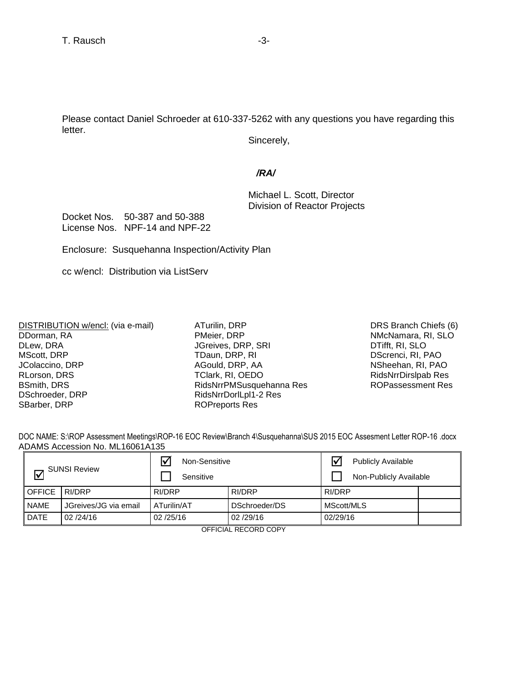Please contact Daniel Schroeder at 610-337-5262 with any questions you have regarding this letter.

Sincerely,

### */RA/*

Michael L. Scott, Director Division of Reactor Projects

Docket Nos. 50-387 and 50-388 License Nos. NPF-14 and NPF-22

Enclosure: Susquehanna Inspection/Activity Plan

cc w/encl: Distribution via ListServ

DISTRIBUTION w/encl: (via e-mail) DDorman, RA DLew, DRA MScott, DRP JColaccino, DRP RLorson, DRS BSmith, DRS DSchroeder, DRP SBarber, DRP

ATurilin, DRP PMeier, DRP JGreives, DRP, SRI TDaun, DRP, RI AGould, DRP, AA TClark, RI, OEDO RidsNrrPMSusquehanna Res RidsNrrDorlLpl1-2 Res ROPreports Res

DRS Branch Chiefs (6) NMcNamara, RI, SLO DTifft, RI, SLO DScrenci, RI, PAO NSheehan, RI, PAO [RidsNrrDirslpab Res](mailto:RidsNrrDirslpab@nrc.gov)  ROPassessment Res

DOC NAME: S:\ROP Assessment Meetings\ROP-16 EOC Review\Branch 4\Susquehanna\SUS 2015 EOC Assesment Letter ROP-16 .docx ADAMS Accession No. ML16061A135

| <b>SUNSI Review</b><br>l۷ |                       | $\triangledown$<br>Non-Sensitive<br>Sensitive |               | <b>Publicly Available</b><br>Non-Publicly Available |  |  |
|---------------------------|-----------------------|-----------------------------------------------|---------------|-----------------------------------------------------|--|--|
| <b>OFFICE</b>             | RI/DRP                | RI/DRP                                        | RI/DRP        | RI/DRP                                              |  |  |
| <b>NAME</b>               | JGreives/JG via email | ATurilin/AT                                   | DSchroeder/DS | MScott/MLS                                          |  |  |
| <b>DATE</b>               | 02/24/16              | 02/25/16                                      | 02/29/16      | 02/29/16                                            |  |  |

OFFICIAL RECORD COPY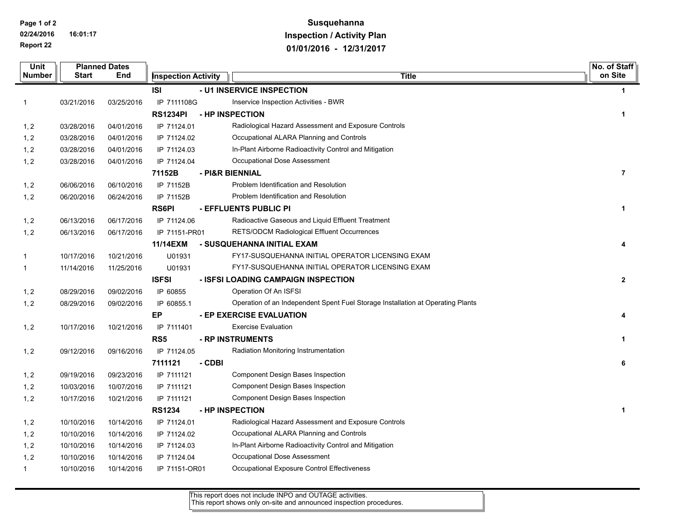**Page 1 of 2**

**02/24/2016 16:01:17 Report 22**

# **Susquehanna Inspection / Activity Plan 01/01/2016 - 12/31/2017**

| Unit          | <b>Planned Dates</b> |            |                            |        | No. of Staff                                                                    |                |
|---------------|----------------------|------------|----------------------------|--------|---------------------------------------------------------------------------------|----------------|
| <b>Number</b> | Start                | End        | <b>Inspection Activity</b> |        | <b>Title</b>                                                                    | on Site        |
|               |                      |            | ISI                        |        | - U1 INSERVICE INSPECTION                                                       | $\mathbf 1$    |
| $\mathbf{1}$  | 03/21/2016           | 03/25/2016 | IP 7111108G                |        | Inservice Inspection Activities - BWR                                           |                |
|               |                      |            | <b>RS1234PI</b>            |        | - HP INSPECTION                                                                 | $\mathbf 1$    |
| 1, 2          | 03/28/2016           | 04/01/2016 | IP 71124.01                |        | Radiological Hazard Assessment and Exposure Controls                            |                |
| 1, 2          | 03/28/2016           | 04/01/2016 | IP 71124.02                |        | Occupational ALARA Planning and Controls                                        |                |
| 1, 2          | 03/28/2016           | 04/01/2016 | IP 71124.03                |        | In-Plant Airborne Radioactivity Control and Mitigation                          |                |
| 1, 2          | 03/28/2016           | 04/01/2016 | IP 71124.04                |        | Occupational Dose Assessment                                                    |                |
|               |                      |            | 71152B                     |        | - PI&R BIENNIAL                                                                 | $\overline{7}$ |
| 1, 2          | 06/06/2016           | 06/10/2016 | IP 71152B                  |        | Problem Identification and Resolution                                           |                |
| 1, 2          | 06/20/2016           | 06/24/2016 | IP 71152B                  |        | Problem Identification and Resolution                                           |                |
|               |                      |            | <b>RS6PI</b>               |        | - EFFLUENTS PUBLIC PI                                                           | 1              |
| 1, 2          | 06/13/2016           | 06/17/2016 | IP 71124.06                |        | Radioactive Gaseous and Liquid Effluent Treatment                               |                |
| 1, 2          | 06/13/2016           | 06/17/2016 | IP 71151-PR01              |        | <b>RETS/ODCM Radiological Effluent Occurrences</b>                              |                |
|               |                      |            | 11/14EXM                   |        | - SUSQUEHANNA INITIAL EXAM                                                      | 4              |
| $\mathbf{1}$  | 10/17/2016           | 10/21/2016 | U01931                     |        | FY17-SUSQUEHANNA INITIAL OPERATOR LICENSING EXAM                                |                |
| $\mathbf{1}$  | 11/14/2016           | 11/25/2016 | U01931                     |        | FY17-SUSQUEHANNA INITIAL OPERATOR LICENSING EXAM                                |                |
|               |                      |            | <b>ISFSI</b>               |        | - ISFSI LOADING CAMPAIGN INSPECTION                                             | $\mathbf{2}$   |
| 1, 2          | 08/29/2016           | 09/02/2016 | IP 60855                   |        | Operation Of An ISFSI                                                           |                |
| 1, 2          | 08/29/2016           | 09/02/2016 | IP 60855.1                 |        | Operation of an Independent Spent Fuel Storage Installation at Operating Plants |                |
|               |                      |            | EP                         |        | - EP EXERCISE EVALUATION                                                        | 4              |
| 1, 2          | 10/17/2016           | 10/21/2016 | IP 7111401                 |        | <b>Exercise Evaluation</b>                                                      |                |
|               |                      |            | RS <sub>5</sub>            |        | - RP INSTRUMENTS                                                                | 1              |
| 1, 2          | 09/12/2016           | 09/16/2016 | IP 71124.05                |        | Radiation Monitoring Instrumentation                                            |                |
|               |                      |            | 7111121                    | - CDBI |                                                                                 | 6              |
| 1, 2          | 09/19/2016           | 09/23/2016 | IP 7111121                 |        | Component Design Bases Inspection                                               |                |
| 1, 2          | 10/03/2016           | 10/07/2016 | IP 7111121                 |        | Component Design Bases Inspection                                               |                |
| 1, 2          | 10/17/2016           | 10/21/2016 | IP 7111121                 |        | Component Design Bases Inspection                                               |                |
|               |                      |            | <b>RS1234</b>              |        | - HP INSPECTION                                                                 | 1              |
| 1, 2          | 10/10/2016           | 10/14/2016 | IP 71124.01                |        | Radiological Hazard Assessment and Exposure Controls                            |                |
| 1, 2          | 10/10/2016           | 10/14/2016 | IP 71124.02                |        | Occupational ALARA Planning and Controls                                        |                |
| 1, 2          | 10/10/2016           | 10/14/2016 | IP 71124.03                |        | In-Plant Airborne Radioactivity Control and Mitigation                          |                |
| 1, 2          | 10/10/2016           | 10/14/2016 | IP 71124.04                |        | Occupational Dose Assessment                                                    |                |
| $\mathbf{1}$  | 10/10/2016           | 10/14/2016 | IP 71151-OR01              |        | Occupational Exposure Control Effectiveness                                     |                |

This report does not include INPO and OUTAGE activities. This report shows only on-site and announced inspection procedures.